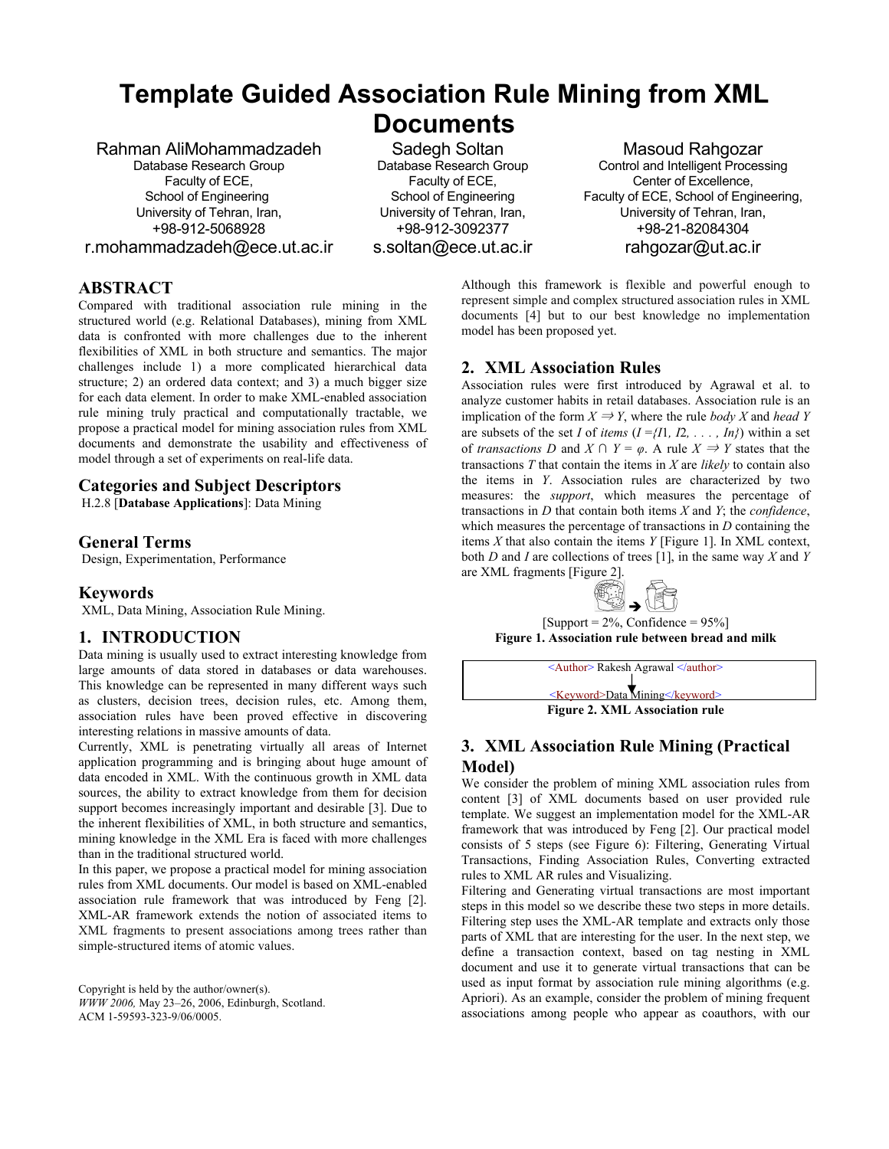# **Template Guided Association Rule Mining from XML Documents**

### Rahman AliMohammadzadeh

Database Research Group Faculty of ECE, School of Engineering University of Tehran, Iran, +98-912-5068928

r.mohammadzadeh@ece.ut.ac.ir

 Sadegh Soltan Database Research Group Faculty of ECE, School of Engineering University of Tehran, Iran, +98-912-3092377 s.soltan@ece.ut.ac.ir

Masoud Rahgozar Control and Intelligent Processing Center of Excellence, Faculty of ECE, School of Engineering, University of Tehran, Iran, +98-21-82084304 rahgozar@ut.ac.ir

# **ABSTRACT**

Compared with traditional association rule mining in the structured world (e.g. Relational Databases), mining from XML data is confronted with more challenges due to the inherent flexibilities of XML in both structure and semantics. The major challenges include 1) a more complicated hierarchical data structure; 2) an ordered data context; and 3) a much bigger size for each data element. In order to make XML-enabled association rule mining truly practical and computationally tractable, we propose a practical model for mining association rules from XML documents and demonstrate the usability and effectiveness of model through a set of experiments on real-life data.

# **Categories and Subject Descriptors**

H.2.8 [**Database Applications**]: Data Mining

# **General Terms**

Design, Experimentation, Performance

# **Keywords**

XML, Data Mining, Association Rule Mining.

# **1. INTRODUCTION**

Data mining is usually used to extract interesting knowledge from large amounts of data stored in databases or data warehouses. This knowledge can be represented in many different ways such as clusters, decision trees, decision rules, etc. Among them, association rules have been proved effective in discovering interesting relations in massive amounts of data.

Currently, XML is penetrating virtually all areas of Internet application programming and is bringing about huge amount of data encoded in XML. With the continuous growth in XML data sources, the ability to extract knowledge from them for decision support becomes increasingly important and desirable [3]. Due to the inherent flexibilities of XML, in both structure and semantics, mining knowledge in the XML Era is faced with more challenges than in the traditional structured world.

In this paper, we propose a practical model for mining association rules from XML documents. Our model is based on XML-enabled association rule framework that was introduced by Feng [2]. XML-AR framework extends the notion of associated items to XML fragments to present associations among trees rather than simple-structured items of atomic values.

Copyright is held by the author/owner(s). *WWW 2006,* May 23–26, 2006, Edinburgh, Scotland. ACM 1-59593-323-9/06/0005.

Although this framework is flexible and powerful enough to represent simple and complex structured association rules in XML documents [4] but to our best knowledge no implementation model has been proposed yet.

# **2. XML Association Rules**

Association rules were first introduced by Agrawal et al. to analyze customer habits in retail databases. Association rule is an implication of the form  $X \Rightarrow Y$ , where the rule *body X* and *head Y* are subsets of the set *I* of *items*  $(I = \{I1, I2, \ldots, In\})$  within a set of *transactions D* and *X*  $\cap$  *Y* =  $\varphi$ . A rule *X*  $\Rightarrow$  *Y* states that the transactions *T* that contain the items in *X* are *likely* to contain also the items in *Y*. Association rules are characterized by two measures: the *support*, which measures the percentage of transactions in *D* that contain both items *X* and *Y*; the *confidence*, which measures the percentage of transactions in *D* containing the items *X* that also contain the items *Y* [Figure 1]. In XML context, both *D* and *I* are collections of trees [1], in the same way *X* and *Y* are XML fragments [Figure 2].



 $\text{[Support} = 2\%, \text{Confidence} = 95\% \text{]}$ **Figure 1. Association rule between bread and milk** 



# **3. XML Association Rule Mining (Practical Model)**

We consider the problem of mining XML association rules from content [3] of XML documents based on user provided rule template. We suggest an implementation model for the XML-AR framework that was introduced by Feng [2]. Our practical model consists of 5 steps (see Figure 6): Filtering, Generating Virtual Transactions, Finding Association Rules, Converting extracted rules to XML AR rules and Visualizing.

Filtering and Generating virtual transactions are most important steps in this model so we describe these two steps in more details. Filtering step uses the XML-AR template and extracts only those parts of XML that are interesting for the user. In the next step, we define a transaction context, based on tag nesting in XML document and use it to generate virtual transactions that can be used as input format by association rule mining algorithms (e.g. Apriori). As an example, consider the problem of mining frequent associations among people who appear as coauthors, with our